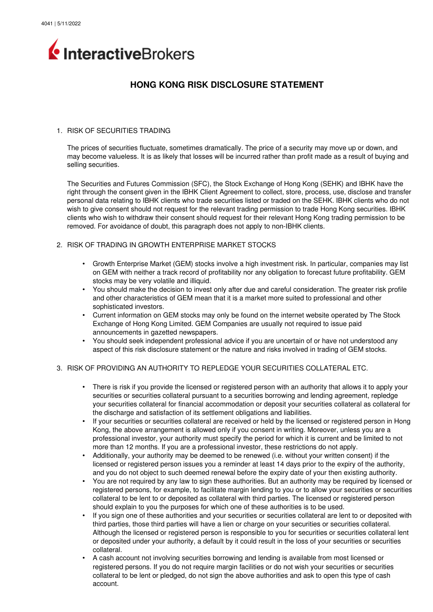# InteractiveBrokers

# **HONG KONG RISK DISCLOSURE STATEMENT**

# 1. RISK OF SECURITIES TRADING

The prices of securities fluctuate, sometimes dramatically. The price of a security may move up or down, and may become valueless. It is as likely that losses will be incurred rather than profit made as a result of buying and selling securities.

The Securities and Futures Commission (SFC), the Stock Exchange of Hong Kong (SEHK) and IBHK have the right through the consent given in the IBHK Client Agreement to collect, store, process, use, disclose and transfer personal data relating to IBHK clients who trade securities listed or traded on the SEHK. IBHK clients who do not wish to give consent should not request for the relevant trading permission to trade Hong Kong securities. IBHK clients who wish to withdraw their consent should request for their relevant Hong Kong trading permission to be removed. For avoidance of doubt, this paragraph does not apply to non-IBHK clients.

# 2. RISK OF TRADING IN GROWTH ENTERPRISE MARKET STOCKS

- Growth Enterprise Market (GEM) stocks involve a high investment risk. In particular, companies may list on GEM with neither a track record of profitability nor any obligation to forecast future profitability. GEM stocks may be very volatile and illiquid.
- You should make the decision to invest only after due and careful consideration. The greater risk profile and other characteristics of GEM mean that it is a market more suited to professional and other sophisticated investors.
- Current information on GEM stocks may only be found on the internet website operated by The Stock Exchange of Hong Kong Limited. GEM Companies are usually not required to issue paid announcements in gazetted newspapers.
- You should seek independent professional advice if you are uncertain of or have not understood any aspect of this risk disclosure statement or the nature and risks involved in trading of GEM stocks.

# 3. RISK OF PROVIDING AN AUTHORITY TO REPLEDGE YOUR SECURITIES COLLATERAL ETC.

- There is risk if you provide the licensed or registered person with an authority that allows it to apply your securities or securities collateral pursuant to a securities borrowing and lending agreement, repledge your securities collateral for financial accommodation or deposit your securities collateral as collateral for the discharge and satisfaction of its settlement obligations and liabilities.
- If your securities or securities collateral are received or held by the licensed or registered person in Hong Kong, the above arrangement is allowed only if you consent in writing. Moreover, unless you are a professional investor, your authority must specify the period for which it is current and be limited to not more than 12 months. If you are a professional investor, these restrictions do not apply.
- Additionally, your authority may be deemed to be renewed (i.e. without your written consent) if the licensed or registered person issues you a reminder at least 14 days prior to the expiry of the authority, and you do not object to such deemed renewal before the expiry date of your then existing authority.
- You are not required by any law to sign these authorities. But an authority may be required by licensed or registered persons, for example, to facilitate margin lending to you or to allow your securities or securities collateral to be lent to or deposited as collateral with third parties. The licensed or registered person should explain to you the purposes for which one of these authorities is to be used.
- If you sign one of these authorities and your securities or securities collateral are lent to or deposited with third parties, those third parties will have a lien or charge on your securities or securities collateral. Although the licensed or registered person is responsible to you for securities or securities collateral lent or deposited under your authority, a default by it could result in the loss of your securities or securities collateral.
- A cash account not involving securities borrowing and lending is available from most licensed or registered persons. If you do not require margin facilities or do not wish your securities or securities collateral to be lent or pledged, do not sign the above authorities and ask to open this type of cash account.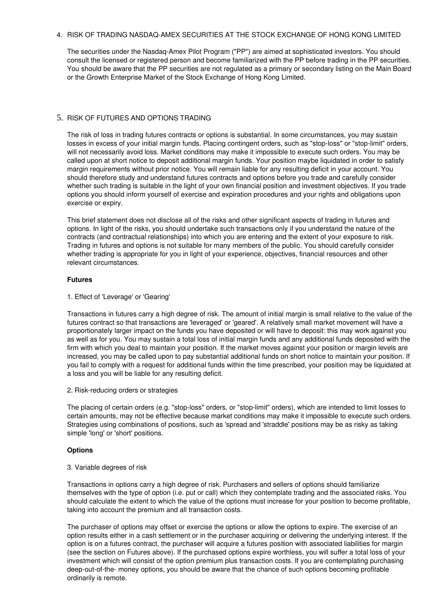# 4. RISK OF TRADING NASDAQ-AMEX SECURITIES AT THE STOCK EXCHANGE OF HONG KONG LIMITED

The securities under the Nasdaq-Amex Pilot Program ("PP") are aimed at sophisticated investors. You should consult the licensed or registered person and become familiarized with the PP before trading in the PP securities. You should be aware that the PP securities are not regulated as a primary or secondary listing on the Main Board or the Growth Enterprise Market of the Stock Exchange of Hong Kong Limited.

# 5. RISK OF FUTURES AND OPTIONS TRADING

The risk of loss in trading futures contracts or options is substantial. In some circumstances, you may sustain losses in excess of your initial margin funds. Placing contingent orders, such as "stop-loss" or "stop-limit" orders, will not necessarily avoid loss. Market conditions may make it impossible to execute such orders. You may be called upon at short notice to deposit additional margin funds. Your position maybe liquidated in order to satisfy margin requirements without prior notice. You will remain liable for any resulting deficit in your account. You should therefore study and understand futures contracts and options before you trade and carefully consider whether such trading is suitable in the light of your own financial position and investment objectives. If you trade options you should inform yourself of exercise and expiration procedures and your rights and obligations upon exercise or expiry.

This brief statement does not disclose all of the risks and other significant aspects of trading in futures and options. In light of the risks, you should undertake such transactions only if you understand the nature of the contracts (and contractual relationships) into which you are entering and the extent of your exposure to risk. Trading in futures and options is not suitable for many members of the public. You should carefully consider whether trading is appropriate for you in light of your experience, objectives, financial resources and other relevant circumstances.

# **Futures**

1. Effect of 'Leverage' or 'Gearing'

Transactions in futures carry a high degree of risk. The amount of initial margin is small relative to the value of the futures contract so that transactions are 'leveraged' or 'geared'. A relatively small market movement will have a proportionately larger impact on the funds you have deposited or will have to deposit: this may work against you as well as for you. You may sustain a total loss of initial margin funds and any additional funds deposited with the firm with which you deal to maintain your position. If the market moves against your position or margin levels are increased, you may be called upon to pay substantial additional funds on short notice to maintain your position. If you fail to comply with a request for additional funds within the time prescribed, your position may be liquidated at a loss and you will be liable for any resulting deficit.

2. Risk-reducing orders or strategies

The placing of certain orders (e.g. "stop-loss" orders, or "stop-limit" orders), which are intended to limit losses to certain amounts, may not be effective because market conditions may make it impossible to execute such orders. Strategies using combinations of positions, such as 'spread and 'straddle' positions may be as risky as taking simple 'long' or 'short' positions.

# **Options**

3. Variable degrees of risk

Transactions in options carry a high degree of risk. Purchasers and sellers of options should familiarize themselves with the type of option (i.e. put or call) which they contemplate trading and the associated risks. You should calculate the extent to which the value of the options must increase for your position to become profitable, taking into account the premium and all transaction costs.

The purchaser of options may offset or exercise the options or allow the options to expire. The exercise of an option results either in a cash settlement or in the purchaser acquiring or delivering the underlying interest. If the option is on a futures contract, the purchaser will acquire a futures position with associated liabilities for margin (see the section on Futures above). If the purchased options expire worthless, you will suffer a total loss of your investment which will consist of the option premium plus transaction costs. If you are contemplating purchasing deep-out-of-the- money options, you should be aware that the chance of such options becoming profitable ordinarily is remote.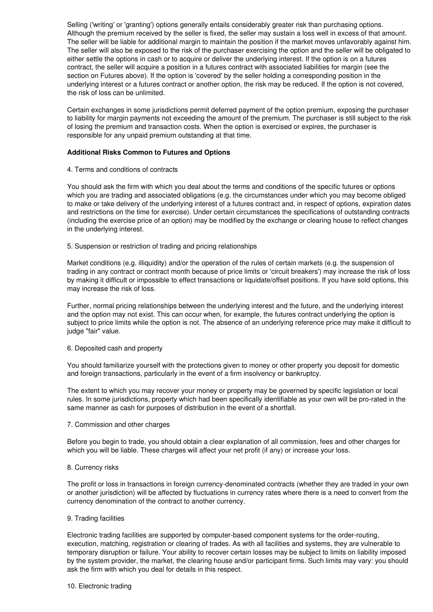Selling ('writing' or 'granting') options generally entails considerably greater risk than purchasing options. Although the premium received by the seller is fixed, the seller may sustain a loss well in excess of that amount. The seller will be liable for additional margin to maintain the position if the market moves unfavorably against him. The seller will also be exposed to the risk of the purchaser exercising the option and the seller will be obligated to either settle the options in cash or to acquire or deliver the underlying interest. If the option is on a futures contract, the seller will acquire a position in a futures contract with associated liabilities for margin (see the section on Futures above). If the option is 'covered' by the seller holding a corresponding position in the underlying interest or a futures contract or another option, the risk may be reduced. If the option is not covered, the risk of loss can be unlimited.

Certain exchanges in some jurisdictions permit deferred payment of the option premium, exposing the purchaser to liability for margin payments not exceeding the amount of the premium. The purchaser is still subject to the risk of losing the premium and transaction costs. When the option is exercised or expires, the purchaser is responsible for any unpaid premium outstanding at that time.

# **Additional Risks Common to Futures and Options**

4. Terms and conditions of contracts

You should ask the firm with which you deal about the terms and conditions of the specific futures or options which you are trading and associated obligations (e.g. the circumstances under which you may become obliged to make or take delivery of the underlying interest of a futures contract and, in respect of options, expiration dates and restrictions on the time for exercise). Under certain circumstances the specifications of outstanding contracts (including the exercise price of an option) may be modified by the exchange or clearing house to reflect changes in the underlying interest.

5. Suspension or restriction of trading and pricing relationships

Market conditions (e.g. illiquidity) and/or the operation of the rules of certain markets (e.g. the suspension of trading in any contract or contract month because of price limits or 'circuit breakers') may increase the risk of loss by making it difficult or impossible to effect transactions or liquidate/offset positions. If you have sold options, this may increase the risk of loss.

Further, normal pricing relationships between the underlying interest and the future, and the underlying interest and the option may not exist. This can occur when, for example, the futures contract underlying the option is subject to price limits while the option is not. The absence of an underlying reference price may make it difficult to judge "fair" value.

#### 6. Deposited cash and property

You should familiarize yourself with the protections given to money or other property you deposit for domestic and foreign transactions, particularly in the event of a firm insolvency or bankruptcy.

The extent to which you may recover your money or property may be governed by specific legislation or local rules. In some jurisdictions, property which had been specifically identifiable as your own will be pro-rated in the same manner as cash for purposes of distribution in the event of a shortfall.

#### 7. Commission and other charges

Before you begin to trade, you should obtain a clear explanation of all commission, fees and other charges for which you will be liable. These charges will affect your net profit (if any) or increase your loss.

#### 8. Currency risks

The profit or loss in transactions in foreign currency-denominated contracts (whether they are traded in your own or another jurisdiction) will be affected by fluctuations in currency rates where there is a need to convert from the currency denomination of the contract to another currency.

#### 9. Trading facilities

Electronic trading facilities are supported by computer-based component systems for the order-routing, execution, matching, registration or clearing of trades. As with all facilities and systems, they are vulnerable to temporary disruption or failure. Your ability to recover certain losses may be subject to limits on liability imposed by the system provider, the market, the clearing house and/or participant firms. Such limits may vary: you should ask the firm with which you deal for details in this respect.

#### 10. Electronic trading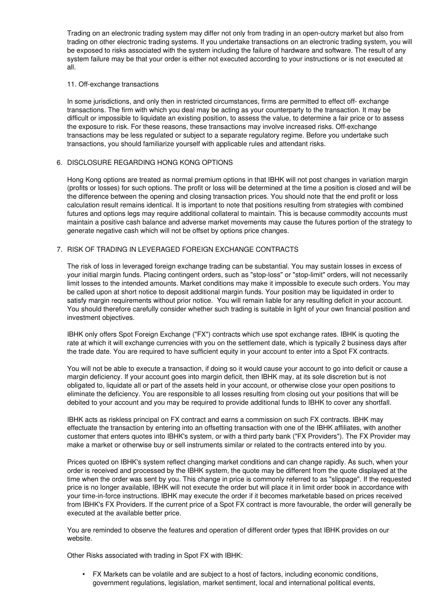Trading on an electronic trading system may differ not only from trading in an open-outcry market but also from trading on other electronic trading systems. If you undertake transactions on an electronic trading system, you will be exposed to risks associated with the system including the failure of hardware and software. The result of any system failure may be that your order is either not executed according to your instructions or is not executed at all.

#### 11. Off-exchange transactions

In some jurisdictions, and only then in restricted circumstances, firms are permitted to effect off-exchange transactions. The firm with which you deal may be acting as your counterparty to the transaction. It may be difficult or impossible to liquidate an existing position, to assess the value, to determine a fair price or to assess the exposure to risk. For these reasons, these transactions may involve increased risks. Off-exchange transactions may be less regulated or subject to a separate regulatory regime. Before you undertake such transactions, you should familiarize yourself with applicable rules and attendant risks.

# 6. DISCLOSURE REGARDING HONG KONG OPTIONS

Hong Kong options are treated as normal premium options in that IBHK will not post changes in variation margin (profits or losses) for such options. The profit or loss will be determined at the time a position is closed and will be the difference between the opening and closing transaction prices. You should note that the end profit or loss calculation result remains identical. It is important to note that positions resulting from strategies with combined futures and options legs may require additional collateral to maintain. This is because commodity accounts must maintain a positive cash balance and adverse market movements may cause the futures portion of the strategy to generate negative cash which will not be offset by options price changes.

# 7. RISK OF TRADING IN LEVERAGED FOREIGN EXCHANGE CONTRACTS

The risk of loss in leveraged foreign exchange trading can be substantial. You may sustain losses in excess of your initial margin funds. Placing contingent orders, such as "stop-loss" or "stop-limit" orders, will not necessarily limit losses to the intended amounts. Market conditions may make it impossible to execute such orders. You may be called upon at short notice to deposit additional margin funds. Your position may be liquidated in order to satisfy margin requirements without prior notice. You will remain liable for any resulting deficit in your account. You should therefore carefully consider whether such trading is suitable in light of your own financial position and investment objectives.

IBHK only offers Spot Foreign Exchange ("FX") contracts which use spot exchange rates. IBHK is quoting the rate at which it will exchange currencies with you on the settlement date, which is typically 2 business days after the trade date. You are required to have sufficient equity in your account to enter into a Spot FX contracts.

You will not be able to execute a transaction, if doing so it would cause your account to go into deficit or cause a margin deficiency. If your account goes into margin deficit, then IBHK may, at its sole discretion but is not obligated to, liquidate all or part of the assets held in your account, or otherwise close your open positions to eliminate the deficiency. You are responsible to all losses resulting from closing out your positions that will be debited to your account and you may be required to provide additional funds to IBHK to cover any shortfall.

IBHK acts as riskless principal on FX contract and earns a commission on such FX contracts. IBHK may effectuate the transaction by entering into an offsetting transaction with one of the IBHK affiliates, with another customer that enters quotes into IBHK's system, or with a third party bank ("FX Providers"). The FX Provider may make a market or otherwise buy or sell instruments similar or related to the contracts entered into by you.

Prices quoted on IBHK's system reflect changing market conditions and can change rapidly. As such, when your order is received and processed by the IBHK system, the quote may be different from the quote displayed at the time when the order was sent by you. This change in price is commonly referred to as "slippage". If the requested price is no longer available, IBHK will not execute the order but will place it in limit order book in accordance with your time-in-force instructions. IBHK may execute the order if it becomes marketable based on prices received from IBHK's FX Providers. If the current price of a Spot FX contract is more favourable, the order will generally be executed at the available better price.

You are reminded to observe the features and operation of different order types that IBHK provides on our website.

Other Risks associated with trading in Spot FX with IBHK:

• FX Markets can be volatile and are subject to a host of factors, including economic conditions, government regulations, legislation, market sentiment, local and international political events,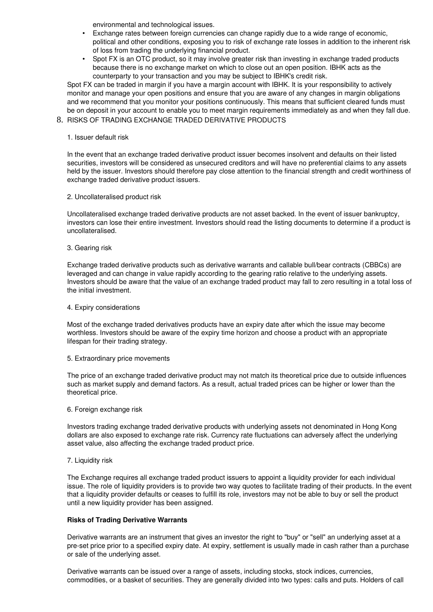environmental and technological issues.

- Exchange rates between foreign currencies can change rapidly due to a wide range of economic, political and other conditions, exposing you to risk of exchange rate losses in addition to the inherent risk of loss from trading the underlying financial product.
- Spot FX is an OTC product, so it may involve greater risk than investing in exchange traded products because there is no exchange market on which to close out an open position. IBHK acts as the counterparty to your transaction and you may be subject to IBHK's credit risk.

Spot FX can be traded in margin if you have a margin account with IBHK. It is your responsibility to actively monitor and manage your open positions and ensure that you are aware of any changes in margin obligations and we recommend that you monitor your positions continuously. This means that sufficient cleared funds must be on deposit in your account to enable you to meet margin requirements immediately as and when they fall due.

# 8. RISKS OF TRADING EXCHANGE TRADED DERIVATIVE PRODUCTS

#### 1. Issuer default risk

In the event that an exchange traded derivative product issuer becomes insolvent and defaults on their listed securities, investors will be considered as unsecured creditors and will have no preferential claims to any assets held by the issuer. Investors should therefore pay close attention to the financial strength and credit worthiness of exchange traded derivative product issuers.

# 2. Uncollateralised product risk

Uncollateralised exchange traded derivative products are not asset backed. In the event of issuer bankruptcy, investors can lose their entire investment. Investors should read the listing documents to determine if a product is uncollateralised.

#### 3. Gearing risk

Exchange traded derivative products such as derivative warrants and callable bull/bear contracts (CBBCs) are leveraged and can change in value rapidly according to the gearing ratio relative to the underlying assets. Investors should be aware that the value of an exchange traded product may fall to zero resulting in a total loss of the initial investment.

#### 4. Expiry considerations

Most of the exchange traded derivatives products have an expiry date after which the issue may become worthless. Investors should be aware of the expiry time horizon and choose a product with an appropriate lifespan for their trading strategy.

# 5. Extraordinary price movements

The price of an exchange traded derivative product may not match its theoretical price due to outside influences such as market supply and demand factors. As a result, actual traded prices can be higher or lower than the theoretical price.

# 6. Foreign exchange risk

Investors trading exchange traded derivative products with underlying assets not denominated in Hong Kong dollars are also exposed to exchange rate risk. Currency rate fluctuations can adversely affect the underlying asset value, also affecting the exchange traded product price.

# 7. Liquidity risk

The Exchange requires all exchange traded product issuers to appoint a liquidity provider for each individual issue. The role of liquidity providers is to provide two way quotes to facilitate trading of their products. In the event that a liquidity provider defaults or ceases to fulfill its role, investors may not be able to buy or sell the product until a new liquidity provider has been assigned.

# **Risks of Trading Derivative Warrants**

Derivative warrants are an instrument that gives an investor the right to "buy" or "sell" an underlying asset at a preset price prior to a specified expiry date. At expiry, settlement is usually made in cash rather than a purchase or sale of the underlying asset.

Derivative warrants can be issued over a range of assets, including stocks, stock indices, currencies, commodities, or a basket of securities. They are generally divided into two types: calls and puts. Holders of call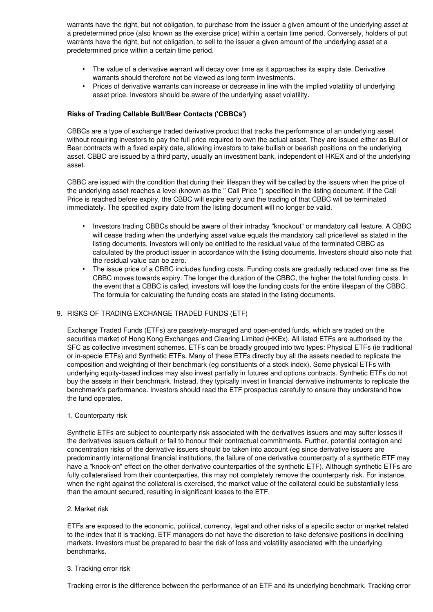warrants have the right, but not obligation, to purchase from the issuer a given amount of the underlying asset at a predetermined price (also known as the exercise price) within a certain time period. Conversely, holders of put warrants have the right, but not obligation, to sell to the issuer a given amount of the underlying asset at a predetermined price within a certain time period.

- The value of a derivative warrant will decay over time as it approaches its expiry date. Derivative warrants should therefore not be viewed as long term investments.
- Prices of derivative warrants can increase or decrease in line with the implied volatility of underlying asset price. Investors should be aware of the underlying asset volatility.

# **Risks of Trading Callable Bull/Bear Contacts ('CBBCs')**

CBBCs are a type of exchange traded derivative product that tracks the performance of an underlying asset without requiring investors to pay the full price required to own the actual asset. They are issued either as Bull or Bear contracts with a fixed expiry date, allowing investors to take bullish or bearish positions on the underlying asset. CBBC are issued by a third party, usually an investment bank, independent of HKEX and of the underlying asset.

CBBC are issued with the condition that during their lifespan they will be called by the issuers when the price of the underlying asset reaches a level (known as the " Call Price ") specified in the listing document. If the Call Price is reached before expiry, the CBBC will expire early and the trading of that CBBC will be terminated immediately. The specified expiry date from the listing document will no longer be valid.

- Investors trading CBBCs should be aware of their intraday "knockout" or mandatory call feature. A CBBC will cease trading when the underlying asset value equals the mandatory call price/level as stated in the listing documents. Investors will only be entitled to the residual value of the terminated CBBC as calculated by the product issuer in accordance with the listing documents. Investors should also note that the residual value can be zero.
- The issue price of a CBBC includes funding costs. Funding costs are gradually reduced over time as the CBBC moves towards expiry. The longer the duration of the CBBC, the higher the total funding costs. In the event that a CBBC is called, investors will lose the funding costs for the entire lifespan of the CBBC. The formula for calculating the funding costs are stated in the listing documents.

# 9. RISKS OF TRADING EXCHANGE TRADED FUNDS (ETF)

Exchange Traded Funds (ETFs) are passively-managed and open-ended funds, which are traded on the securities market of Hong Kong Exchanges and Clearing Limited (HKEx). All listed ETFs are authorised by the SFC as collective investment schemes. ETFs can be broadly grouped into two types: Physical ETFs (ie traditional or inspecie ETFs) and Synthetic ETFs. Many of these ETFs directly buy all the assets needed to replicate the composition and weighting of their benchmark (eg constituents of a stock index). Some physical ETFs with underlying equity-based indices may also invest partially in futures and options contracts. Synthetic ETFs do not buy the assets in their benchmark. Instead, they typically invest in financial derivative instruments to replicate the benchmark's performance. Investors should read the ETF prospectus carefully to ensure they understand how the fund operates.

# 1. Counterparty risk

Synthetic ETFs are subject to counterparty risk associated with the derivatives issuers and may suffer losses if the derivatives issuers default or fail to honour their contractual commitments. Further, potential contagion and concentration risks of the derivative issuers should be taken into account (eg since derivative issuers are predominantly international financial institutions, the failure of one derivative counterparty of a synthetic ETF may have a "knock-on" effect on the other derivative counterparties of the synthetic ETF). Although synthetic ETFs are fully collateralised from their counterparties, this may not completely remove the counterparty risk. For instance, when the right against the collateral is exercised, the market value of the collateral could be substantially less than the amount secured, resulting in significant losses to the ETF.

# 2. Market risk

ETFs are exposed to the economic, political, currency, legal and other risks of a specific sector or market related to the index that it is tracking. ETF managers do not have the discretion to take defensive positions in declining markets. Investors must be prepared to bear the risk of loss and volatility associated with the underlying benchmarks.

# 3. Tracking error risk

Tracking error is the difference between the performance of an ETF and its underlying benchmark. Tracking error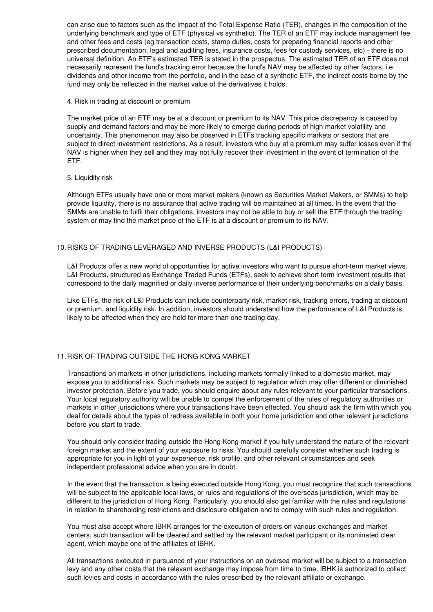can arise due to factors such as the impact of the Total Expense Ratio (TER), changes in the composition of the underlying benchmark and type of ETF (physical vs synthetic). The TER of an ETF may include management fee and other fees and costs (eg transaction costs, stamp duties, costs for preparing financial reports and other prescribed documentation, legal and auditing fees, insurance costs, fees for custody services, etc) there is no universal definition. An ETF's estimated TER is stated in the prospectus. The estimated TER of an ETF does not necessarily represent the fund's tracking error because the fund's NAV may be affected by other factors, i.e. dividends and other income from the portfolio, and in the case of a synthetic ETF, the indirect costs borne by the fund may only be reflected in the market value of the derivatives it holds.

#### 4. Risk in trading at discount or premium

The market price of an ETF may be at a discount or premium to its NAV. This price discrepancy is caused by supply and demand factors and may be more likely to emerge during periods of high market volatility and uncertainty. This phenomenon may also be observed in ETFs tracking specific markets or sectors that are subject to direct investment restrictions. As a result, investors who buy at a premium may suffer losses even if the NAV is higher when they sell and they may not fully recover their investment in the event of termination of the ETF.

#### 5. Liquidity risk

Although ETFs usually have one or more market makers (known as Securities Market Makers, or SMMs) to help provide liquidity, there is no assurance that active trading will be maintained at all times. In the event that the SMMs are unable to fulfil their obligations, investors may not be able to buy or sell the ETF through the trading system or may find the market price of the ETF is at a discount or premium to its NAV.

# 10.RISKS OF TRADING LEVERAGED AND INVERSE PRODUCTS (L&I PRODUCTS)

L&I Products offer a new world of opportunities for active investors who want to pursue short-term market views. L&I Products, structured as Exchange Traded Funds (ETFs), seek to achieve short term investment results that correspond to the daily magnified or daily inverse performance of their underlying benchmarks on a daily basis.

Like ETFs, the risk of L&I Products can include counterparty risk, market risk, tracking errors, trading at discount or premium, and liquidity risk. In addition, investors should understand how the performance of L&I Products is likely to be affected when they are held for more than one trading day.

# 11.RISK OF TRADING OUTSIDE THE HONG KONG MARKET

Transactions on markets in other jurisdictions, including markets formally linked to a domestic market, may expose you to additional risk. Such markets may be subject to regulation which may offer different or diminished investor protection. Before you trade, you should enquire about any rules relevant to your particular transactions. Your local regulatory authority will be unable to compel the enforcement of the rules of regulatory authorities or markets in other jurisdictions where your transactions have been effected. You should ask the firm with which you deal for details about the types of redress available in both your home jurisdiction and other relevant jurisdictions before you start to trade.

You should only consider trading outside the Hong Kong market if you fully understand the nature of the relevant foreign market and the extent of your exposure to risks. You should carefully consider whether such trading is appropriate for you in light of your experience, risk profile, and other relevant circumstances and seek independent professional advice when you are in doubt.

In the event that the transaction is being executed outside Hong Kong, you must recognize that such transactions will be subject to the applicable local laws, or rules and regulations of the overseas jurisdiction, which may be different to the jurisdiction of Hong Kong. Particularly, you should also get familiar with the rules and regulations in relation to shareholding restrictions and disclosure obligation and to comply with such rules and regulation.

You must also accept where IBHK arranges for the execution of orders on various exchanges and market centers; such transaction will be cleared and settled by the relevant market participant or its nominated clear agent, which maybe one of the affiliates of IBHK.

All transactions executed in pursuance of your instructions on an oversea market will be subject to a transaction levy and any other costs that the relevant exchange may impose from time to time. IBHK is authorized to collect such levies and costs in accordance with the rules prescribed by the relevant affiliate or exchange.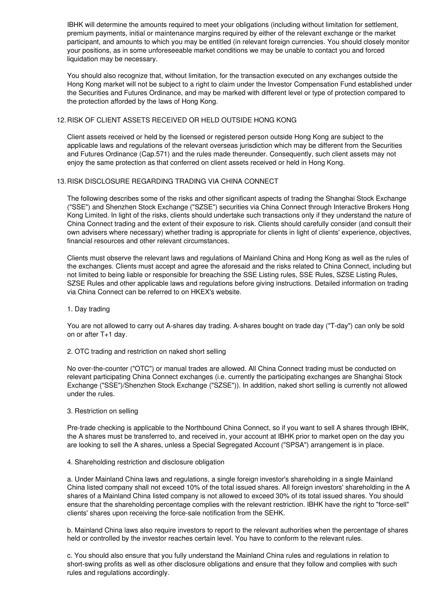IBHK will determine the amounts required to meet your obligations (including without limitation for settlement, premium payments, initial or maintenance margins required by either of the relevant exchange or the market participant, and amounts to which you may be entitled (in relevant foreign currencies. You should closely monitor your positions, as in some unforeseeable market conditions we may be unable to contact you and forced liquidation may be necessary.

You should also recognize that, without limitation, for the transaction executed on any exchanges outside the Hong Kong market will not be subject to a right to claim under the Investor Compensation Fund established under the Securities and Futures Ordinance, and may be marked with different level or type of protection compared to the protection afforded by the laws of Hong Kong.

# 12.RISK OF CLIENT ASSETS RECEIVED OR HELD OUTSIDE HONG KONG

Client assets received or held by the licensed or registered person outside Hong Kong are subject to the applicable laws and regulations of the relevant overseas jurisdiction which may be different from the Securities and Futures Ordinance (Cap.571) and the rules made thereunder. Consequently, such client assets may not enjoy the same protection as that conferred on client assets received or held in Hong Kong.

# 13.RISK DISCLOSURE REGARDING TRADING VIA CHINA CONNECT

The following describes some of the risks and other significant aspects of trading the Shanghai Stock Exchange ("SSE") and Shenzhen Stock Exchange ("SZSE") securities via China Connect through Interactive Brokers Hong Kong Limited. In light of the risks, clients should undertake such transactions only if they understand the nature of China Connect trading and the extent of their exposure to risk. Clients should carefully consider (and consult their own advisers where necessary) whether trading is appropriate for clients in light of clients' experience, objectives, financial resources and other relevant circumstances.

Clients must observe the relevant laws and regulations of Mainland China and Hong Kong as well as the rules of the exchanges. Clients must accept and agree the aforesaid and the risks related to China Connect, including but not limited to being liable or responsible for breaching the SSE Listing rules, SSE Rules, SZSE Listing Rules, SZSE Rules and other applicable laws and regulations before giving instructions. Detailed information on trading via China Connect can be referred to on HKEX's website.

1. Day trading

You are not allowed to carry out A-shares day trading. A-shares bought on trade day ("T-day") can only be sold on or after T+1 day.

2. OTC trading and restriction on naked short selling

No over-the-counter ("OTC") or manual trades are allowed. All China Connect trading must be conducted on relevant participating China Connect exchanges (i.e. currently the participating exchanges are Shanghai Stock Exchange ("SSE")/Shenzhen Stock Exchange ("SZSE")). In addition, naked short selling is currently not allowed under the rules.

3. Restriction on selling

Pre-trade checking is applicable to the Northbound China Connect, so if you want to sell A shares through IBHK, the A shares must be transferred to, and received in, your account at IBHK prior to market open on the day you are looking to sell the A shares, unless a Special Segregated Account ("SPSA") arrangement is in place.

# 4. Shareholding restriction and disclosure obligation

a. Under Mainland China laws and regulations, a single foreign investor's shareholding in a single Mainland China listed company shall not exceed 10% of the total issued shares. All foreign investors' shareholding in the A shares of a Mainland China listed company is not allowed to exceed 30% of its total issued shares. You should ensure that the shareholding percentage complies with the relevant restriction. IBHK have the right to "force-sell" clients' shares upon receiving the force-sale notification from the SEHK.

b. Mainland China laws also require investors to report to the relevant authorities when the percentage of shares held or controlled by the investor reaches certain level. You have to conform to the relevant rules.

c. You should also ensure that you fully understand the Mainland China rules and regulations in relation to short-swing profits as well as other disclosure obligations and ensure that they follow and complies with such rules and regulations accordingly.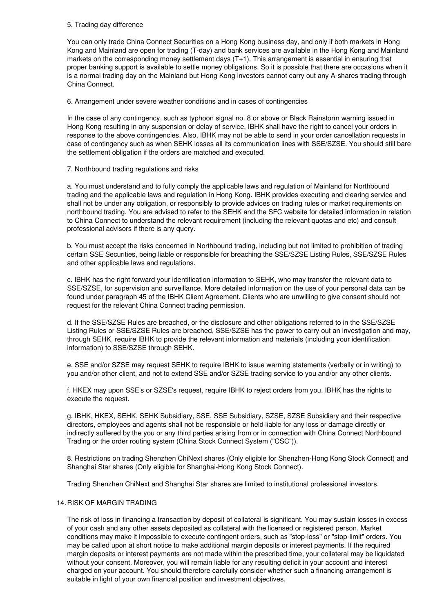#### 5. Trading day difference

You can only trade China Connect Securities on a Hong Kong business day, and only if both markets in Hong Kong and Mainland are open for trading (T-day) and bank services are available in the Hong Kong and Mainland markets on the corresponding money settlement days (T+1). This arrangement is essential in ensuring that proper banking support is available to settle money obligations. So it is possible that there are occasions when it is a normal trading day on the Mainland but Hong Kong investors cannot carry out any A-shares trading through China Connect.

6. Arrangement under severe weather conditions and in cases of contingencies

In the case of any contingency, such as typhoon signal no. 8 or above or Black Rainstorm warning issued in Hong Kong resulting in any suspension or delay of service, IBHK shall have the right to cancel your orders in response to the above contingencies. Also, IBHK may not be able to send in your order cancellation requests in case of contingency such as when SEHK losses all its communication lines with SSE/SZSE. You should still bare the settlement obligation if the orders are matched and executed.

#### 7. Northbound trading regulations and risks

a. You must understand and to fully comply the applicable laws and regulation of Mainland for Northbound trading and the applicable laws and regulation in Hong Kong. IBHK provides executing and clearing service and shall not be under any obligation, or responsibly to provide advices on trading rules or market requirements on northbound trading. You are advised to refer to the SEHK and the SFC website for detailed information in relation to China Connect to understand the relevant requirement (including the relevant quotas and etc) and consult professional advisors if there is any query.

b. You must accept the risks concerned in Northbound trading, including but not limited to prohibition of trading certain SSE Securities, being liable or responsible for breaching the SSE/SZSE Listing Rules, SSE/SZSE Rules and other applicable laws and regulations.

c. IBHK has the right forward your identification information to SEHK, who may transfer the relevant data to SSE/SZSE, for supervision and surveillance. More detailed information on the use of your personal data can be found under paragraph 45 of the IBHK Client Agreement. Clients who are unwilling to give consent should not request for the relevant China Connect trading permission.

d. If the SSE/SZSE Rules are breached, or the disclosure and other obligations referred to in the SSE/SZSE Listing Rules or SSE/SZSE Rules are breached, SSE/SZSE has the power to carry out an investigation and may, through SEHK, require IBHK to provide the relevant information and materials (including your identification information) to SSE/SZSE through SEHK.

e. SSE and/or SZSE may request SEHK to require IBHK to issue warning statements (verbally or in writing) to you and/or other client, and not to extend SSE and/or SZSE trading service to you and/or any other clients.

f. HKEX may upon SSE's or SZSE's request, require IBHK to reject orders from you. IBHK has the rights to execute the request.

g. IBHK, HKEX, SEHK, SEHK Subsidiary, SSE, SSE Subsidiary, SZSE, SZSE Subsidiary and their respective directors, employees and agents shall not be responsible or held liable for any loss or damage directly or indirectly suffered by the you or any third parties arising from or in connection with China Connect Northbound Trading or the order routing system (China Stock Connect System ("CSC")).

8. Restrictions on trading Shenzhen ChiNext shares (Only eligible for Shenzhen-Hong Kong Stock Connect) and Shanghai Star shares (Only eligible for Shanghai-Hong Kong Stock Connect).

Trading Shenzhen ChiNext and Shanghai Star shares are limited to institutional professional investors.

# 14.RISK OF MARGIN TRADING

The risk of loss in financing a transaction by deposit of collateral is significant. You may sustain losses in excess of your cash and any other assets deposited as collateral with the licensed or registered person. Market conditions may make it impossible to execute contingent orders, such as "stop-loss" or "stop-limit" orders. You may be called upon at short notice to make additional margin deposits or interest payments. If the required margin deposits or interest payments are not made within the prescribed time, your collateral may be liquidated without your consent. Moreover, you will remain liable for any resulting deficit in your account and interest charged on your account. You should therefore carefully consider whether such a financing arrangement is suitable in light of your own financial position and investment objectives.